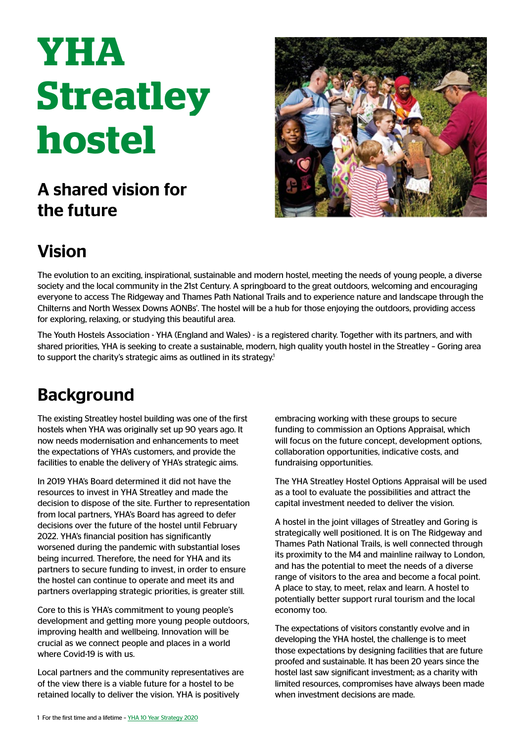# **YHA Streatley hostel**

### A shared vision for the future



## Vision

The evolution to an exciting, inspirational, sustainable and modern hostel, meeting the needs of young people, a diverse society and the local community in the 21st Century. A springboard to the great outdoors, welcoming and encouraging everyone to access The Ridgeway and Thames Path National Trails and to experience nature and landscape through the Chilterns and North Wessex Downs AONBs'. The hostel will be a hub for those enjoying the outdoors, providing access for exploring, relaxing, or studying this beautiful area.

The Youth Hostels Association - YHA (England and Wales) - is a registered charity. Together with its partners, and with shared priorities, YHA is seeking to create a sustainable, modern, high quality youth hostel in the Streatley – Goring area to support the charity's strategic aims as outlined in its strategy.<sup>1</sup>

#### **Background**

The existing Streatley hostel building was one of the first hostels when YHA was originally set up 90 years ago. It now needs modernisation and enhancements to meet the expectations of YHA's customers, and provide the facilities to enable the delivery of YHA's strategic aims.

In 2019 YHA's Board determined it did not have the resources to invest in YHA Streatley and made the decision to dispose of the site. Further to representation from local partners, YHA's Board has agreed to defer decisions over the future of the hostel until February 2022. YHA's financial position has significantly worsened during the pandemic with substantial loses being incurred. Therefore, the need for YHA and its partners to secure funding to invest, in order to ensure the hostel can continue to operate and meet its and partners overlapping strategic priorities, is greater still.

Core to this is YHA's commitment to young people's development and getting more young people outdoors, improving health and wellbeing. Innovation will be crucial as we connect people and places in a world where Covid-19 is with us.

Local partners and the community representatives are of the view there is a viable future for a hostel to be retained locally to deliver the vision. YHA is positively

embracing working with these groups to secure funding to commission an Options Appraisal, which will focus on the future concept, development options, collaboration opportunities, indicative costs, and fundraising opportunities.

The YHA Streatley Hostel Options Appraisal will be used as a tool to evaluate the possibilities and attract the capital investment needed to deliver the vision.

A hostel in the joint villages of Streatley and Goring is strategically well positioned. It is on The Ridgeway and Thames Path National Trails, is well connected through its proximity to the M4 and mainline railway to London, and has the potential to meet the needs of a diverse range of visitors to the area and become a focal point. A place to stay, to meet, relax and learn. A hostel to potentially better support rural tourism and the local economy too.

The expectations of visitors constantly evolve and in developing the YHA hostel, the challenge is to meet those expectations by designing facilities that are future proofed and sustainable. It has been 20 years since the hostel last saw significant investment; as a charity with limited resources, compromises have always been made when investment decisions are made.